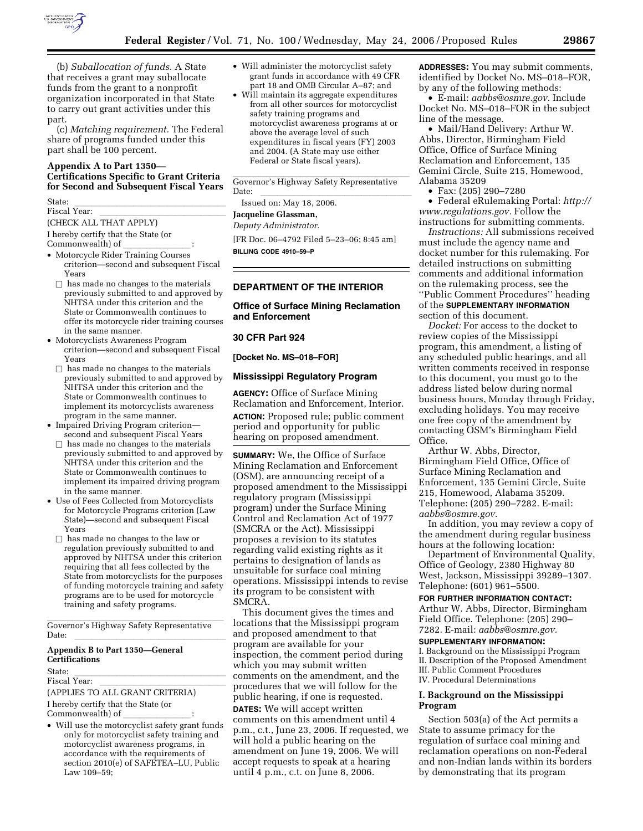

(b) *Suballocation of funds.* A State that receives a grant may suballocate funds from the grant to a nonprofit organization incorporated in that State to carry out grant activities under this part.

(c) *Matching requirement.* The Federal share of programs funded under this part shall be 100 percent.

### **Appendix A to Part 1350— Certifications Specific to Grant Criteria for Second and Subsequent Fiscal Years**

State:<br>Fiscal Year:

Fiscal Year: lllllllllllllll (CHECK ALL THAT APPLY)

I hereby certify that the State (or

- 
- Commonwealth) of \_\_\_\_\_\_\_\_\_\_\_\_\_\_\_\_\_\_\_ :<br>• Motorcycle Rider Training Courses criterion—second and subsequent Fiscal Years
- $\Box$  has made no changes to the materials previously submitted to and approved by NHTSA under this criterion and the State or Commonwealth continues to offer its motorcycle rider training courses in the same manner.
- Motorcyclists Awareness Program criterion—second and subsequent Fiscal Years
- $\Box$  has made no changes to the materials previously submitted to and approved by NHTSA under this criterion and the State or Commonwealth continues to implement its motorcyclists awareness program in the same manner.
- Impaired Driving Program criterion second and subsequent Fiscal Years
- $\Box$  has made no changes to the materials previously submitted to and approved by NHTSA under this criterion and the State or Commonwealth continues to implement its impaired driving program in the same manner.
- Use of Fees Collected from Motorcyclists for Motorcycle Programs criterion (Law State)—second and subsequent Fiscal Years
	- $\Box$  has made no changes to the law or regulation previously submitted to and approved by NHTSA under this criterion requiring that all fees collected by the State from motorcyclists for the purposes of funding motorcycle training and safety programs are to be used for motorcycle training and safety programs.

Governor's Highway Safety Representative Date: llllllllllllllllll

### **Appendix B to Part 1350—General Certifications**

State:<br>Fiscal Year:

Fiscal Year: lllllllllllllll (APPLIES TO ALL GRANT CRITERIA)

I hereby certify that the State (or

- 
- Commonwealth) of llllllll: Will use the motorcyclist safety grant funds only for motorcyclist safety training and motorcyclist awareness programs, in accordance with the requirements of section 2010(e) of SAFETEA–LU, Public Law 109–59;
- Will administer the motorcyclist safety grant funds in accordance with 49 CFR part 18 and OMB Circular A–87; and
- Will maintain its aggregate expenditures from all other sources for motorcyclist safety training programs and motorcyclist awareness programs at or above the average level of such expenditures in fiscal years (FY) 2003 and 2004. (A State may use either Federal or State fiscal years).

Governor's Highway Safety Representative Date: llllllllllllllllll Issued on: May 18, 2006.

# **Jacqueline Glassman,**

*Deputy Administrator.* 

[FR Doc. 06–4792 Filed 5–23–06; 8:45 am] **BILLING CODE 4910–59–P** 

## **DEPARTMENT OF THE INTERIOR**

### **Office of Surface Mining Reclamation and Enforcement**

#### **30 CFR Part 924**

**[Docket No. MS–018–FOR]** 

#### **Mississippi Regulatory Program**

**AGENCY:** Office of Surface Mining Reclamation and Enforcement, Interior. **ACTION:** Proposed rule; public comment period and opportunity for public hearing on proposed amendment.

**SUMMARY:** We, the Office of Surface Mining Reclamation and Enforcement (OSM), are announcing receipt of a proposed amendment to the Mississippi regulatory program (Mississippi program) under the Surface Mining Control and Reclamation Act of 1977 (SMCRA or the Act). Mississippi proposes a revision to its statutes regarding valid existing rights as it pertains to designation of lands as unsuitable for surface coal mining operations. Mississippi intends to revise its program to be consistent with SMCRA.

This document gives the times and locations that the Mississippi program and proposed amendment to that program are available for your inspection, the comment period during which you may submit written comments on the amendment, and the procedures that we will follow for the public hearing, if one is requested.

**DATES:** We will accept written comments on this amendment until 4 p.m., c.t., June 23, 2006. If requested, we will hold a public hearing on the amendment on June 19, 2006. We will accept requests to speak at a hearing until 4 p.m., c.t. on June 8, 2006.

**ADDRESSES:** You may submit comments, identified by Docket No. MS–018–FOR, by any of the following methods:

• E-mail: *aabbs@osmre.gov.* Include Docket No. MS–018–FOR in the subject line of the message.

• Mail/Hand Delivery: Arthur W. Abbs, Director, Birmingham Field Office, Office of Surface Mining Reclamation and Enforcement, 135 Gemini Circle, Suite 215, Homewood, Alabama 35209

• Fax: (205) 290–7280

• Federal eRulemaking Portal: *http:// www.regulations.gov.* Follow the instructions for submitting comments.

*Instructions:* All submissions received must include the agency name and docket number for this rulemaking. For detailed instructions on submitting comments and additional information on the rulemaking process, see the ''Public Comment Procedures'' heading of the **SUPPLEMENTARY INFORMATION** section of this document.

*Docket:* For access to the docket to review copies of the Mississippi program, this amendment, a listing of any scheduled public hearings, and all written comments received in response to this document, you must go to the address listed below during normal business hours, Monday through Friday, excluding holidays. You may receive one free copy of the amendment by contacting OSM's Birmingham Field Office.

Arthur W. Abbs, Director, Birmingham Field Office, Office of Surface Mining Reclamation and Enforcement, 135 Gemini Circle, Suite 215, Homewood, Alabama 35209. Telephone: (205) 290–7282. E-mail: *aabbs@osmre.gov.* 

In addition, you may review a copy of the amendment during regular business hours at the following location:

Department of Environmental Quality, Office of Geology, 2380 Highway 80 West, Jackson, Mississippi 39289–1307. Telephone: (601) 961–5500.

#### **FOR FURTHER INFORMATION CONTACT:**

Arthur W. Abbs, Director, Birmingham Field Office. Telephone: (205) 290– 7282. E-mail: *aabbs@osmre.gov.* 

#### **SUPPLEMENTARY INFORMATION:**

I. Background on the Mississippi Program II. Description of the Proposed Amendment III. Public Comment Procedures IV. Procedural Determinations

#### **I. Background on the Mississippi Program**

Section 503(a) of the Act permits a State to assume primacy for the regulation of surface coal mining and reclamation operations on non-Federal and non-Indian lands within its borders by demonstrating that its program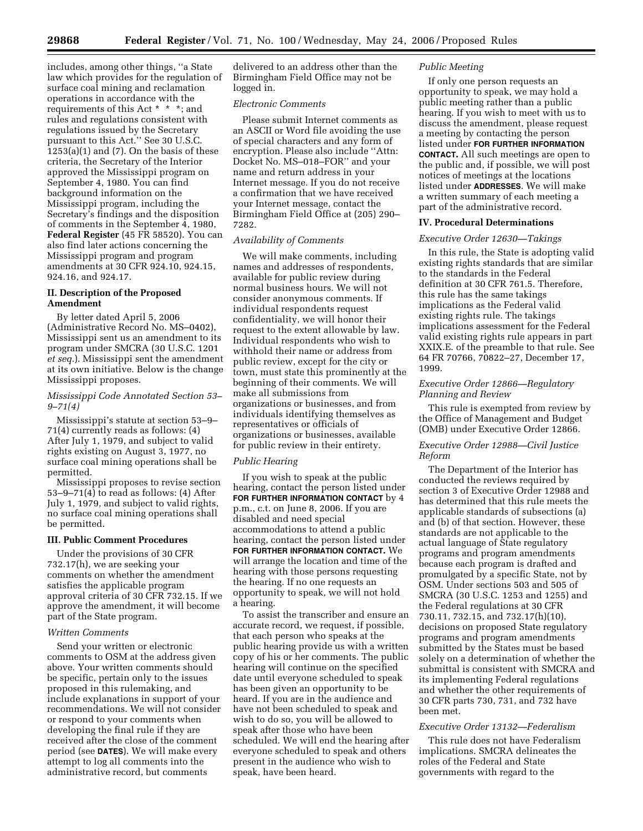includes, among other things, ''a State law which provides for the regulation of surface coal mining and reclamation operations in accordance with the requirements of this Act \* \* \*; and rules and regulations consistent with regulations issued by the Secretary pursuant to this Act.'' See 30 U.S.C.  $1253(a)(1)$  and  $(7)$ . On the basis of these criteria, the Secretary of the Interior approved the Mississippi program on September 4, 1980. You can find background information on the Mississippi program, including the Secretary's findings and the disposition of comments in the September 4, 1980, **Federal Register** (45 FR 58520). You can also find later actions concerning the Mississippi program and program amendments at 30 CFR 924.10, 924.15, 924.16, and 924.17.

### **II. Description of the Proposed Amendment**

By letter dated April 5, 2006 (Administrative Record No. MS–0402), Mississippi sent us an amendment to its program under SMCRA (30 U.S.C. 1201 *et seq.*). Mississippi sent the amendment at its own initiative. Below is the change Mississippi proposes.

#### *Mississippi Code Annotated Section 53– 9–71(4)*

Mississippi's statute at section 53–9– 71(4) currently reads as follows: (4) After July 1, 1979, and subject to valid rights existing on August 3, 1977, no surface coal mining operations shall be permitted.

Mississippi proposes to revise section 53–9–71(4) to read as follows: (4) After July 1, 1979, and subject to valid rights, no surface coal mining operations shall be permitted.

## **III. Public Comment Procedures**

Under the provisions of 30 CFR 732.17(h), we are seeking your comments on whether the amendment satisfies the applicable program approval criteria of 30 CFR 732.15. If we approve the amendment, it will become part of the State program.

## *Written Comments*

Send your written or electronic comments to OSM at the address given above. Your written comments should be specific, pertain only to the issues proposed in this rulemaking, and include explanations in support of your recommendations. We will not consider or respond to your comments when developing the final rule if they are received after the close of the comment period (see **DATES**). We will make every attempt to log all comments into the administrative record, but comments

delivered to an address other than the Birmingham Field Office may not be logged in.

#### *Electronic Comments*

Please submit Internet comments as an ASCII or Word file avoiding the use of special characters and any form of encryption. Please also include ''Attn: Docket No. MS–018–FOR'' and your name and return address in your Internet message. If you do not receive a confirmation that we have received your Internet message, contact the Birmingham Field Office at (205) 290– 7282.

## *Availability of Comments*

We will make comments, including names and addresses of respondents, available for public review during normal business hours. We will not consider anonymous comments. If individual respondents request confidentiality, we will honor their request to the extent allowable by law. Individual respondents who wish to withhold their name or address from public review, except for the city or town, must state this prominently at the beginning of their comments. We will make all submissions from organizations or businesses, and from individuals identifying themselves as representatives or officials of organizations or businesses, available for public review in their entirety.

## *Public Hearing*

If you wish to speak at the public hearing, contact the person listed under **FOR FURTHER INFORMATION CONTACT** by 4 p.m., c.t. on June 8, 2006. If you are disabled and need special accommodations to attend a public hearing, contact the person listed under **FOR FURTHER INFORMATION CONTACT.** We will arrange the location and time of the hearing with those persons requesting the hearing. If no one requests an opportunity to speak, we will not hold a hearing.

To assist the transcriber and ensure an accurate record, we request, if possible, that each person who speaks at the public hearing provide us with a written copy of his or her comments. The public hearing will continue on the specified date until everyone scheduled to speak has been given an opportunity to be heard. If you are in the audience and have not been scheduled to speak and wish to do so, you will be allowed to speak after those who have been scheduled. We will end the hearing after everyone scheduled to speak and others present in the audience who wish to speak, have been heard.

## *Public Meeting*

If only one person requests an opportunity to speak, we may hold a public meeting rather than a public hearing. If you wish to meet with us to discuss the amendment, please request a meeting by contacting the person listed under **FOR FURTHER INFORMATION CONTACT.** All such meetings are open to the public and, if possible, we will post notices of meetings at the locations listed under **ADDRESSES**. We will make a written summary of each meeting a part of the administrative record.

#### **IV. Procedural Determinations**

#### *Executive Order 12630—Takings*

In this rule, the State is adopting valid existing rights standards that are similar to the standards in the Federal definition at 30 CFR 761.5. Therefore, this rule has the same takings implications as the Federal valid existing rights rule. The takings implications assessment for the Federal valid existing rights rule appears in part XXIX.E. of the preamble to that rule. See 64 FR 70766, 70822–27, December 17, 1999.

#### *Executive Order 12866—Regulatory Planning and Review*

This rule is exempted from review by the Office of Management and Budget (OMB) under Executive Order 12866.

#### *Executive Order 12988—Civil Justice Reform*

The Department of the Interior has conducted the reviews required by section 3 of Executive Order 12988 and has determined that this rule meets the applicable standards of subsections (a) and (b) of that section. However, these standards are not applicable to the actual language of State regulatory programs and program amendments because each program is drafted and promulgated by a specific State, not by OSM. Under sections 503 and 505 of SMCRA (30 U.S.C. 1253 and 1255) and the Federal regulations at 30 CFR 730.11, 732.15, and 732.17(h)(10), decisions on proposed State regulatory programs and program amendments submitted by the States must be based solely on a determination of whether the submittal is consistent with SMCRA and its implementing Federal regulations and whether the other requirements of 30 CFR parts 730, 731, and 732 have been met.

## *Executive Order 13132—Federalism*

This rule does not have Federalism implications. SMCRA delineates the roles of the Federal and State governments with regard to the